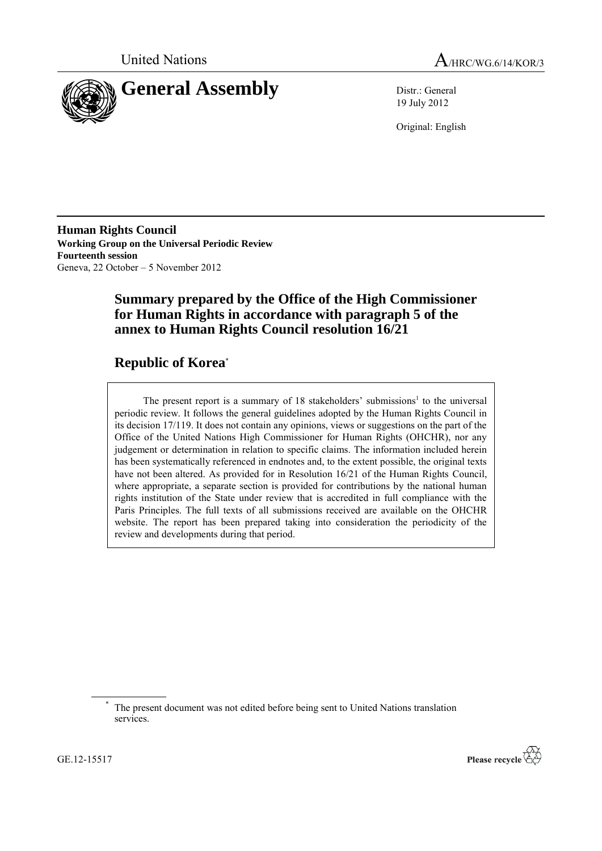



19 July 2012

Original: English

**Human Rights Council Working Group on the Universal Periodic Review Fourteenth session** Geneva, 22 October – 5 November 2012

# **Summary prepared by the Office of the High Commissioner for Human Rights in accordance with paragraph 5 of the annex to Human Rights Council resolution 16/21**

# **Republic of Korea**\*

The present report is a summary of 18 stakeholders' submissions<sup>1</sup> to the universal periodic review. It follows the general guidelines adopted by the Human Rights Council in its decision 17/119. It does not contain any opinions, views or suggestions on the part of the Office of the United Nations High Commissioner for Human Rights (OHCHR), nor any judgement or determination in relation to specific claims. The information included herein has been systematically referenced in endnotes and, to the extent possible, the original texts have not been altered. As provided for in Resolution 16/21 of the Human Rights Council, where appropriate, a separate section is provided for contributions by the national human rights institution of the State under review that is accredited in full compliance with the Paris Principles. The full texts of all submissions received are available on the OHCHR website. The report has been prepared taking into consideration the periodicity of the review and developments during that period.



The present document was not edited before being sent to United Nations translation services.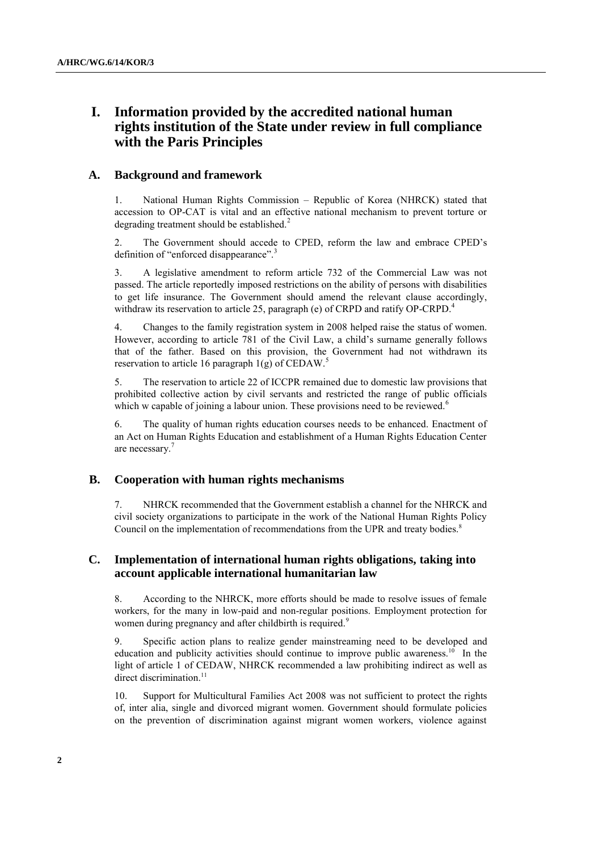# **I. Information provided by the accredited national human rights institution of the State under review in full compliance with the Paris Principles**

## **A. Background and framework**

1. National Human Rights Commission – Republic of Korea (NHRCK) stated that accession to OP-CAT is vital and an effective national mechanism to prevent torture or degrading treatment should be established. $2^2$ 

2. The Government should accede to CPED, reform the law and embrace CPED"s definition of "enforced disappearance".<sup>3</sup>

3. A legislative amendment to reform article 732 of the Commercial Law was not passed. The article reportedly imposed restrictions on the ability of persons with disabilities to get life insurance. The Government should amend the relevant clause accordingly, withdraw its reservation to article 25, paragraph (e) of CRPD and ratify OP-CRPD.<sup>4</sup>

4. Changes to the family registration system in 2008 helped raise the status of women. However, according to article 781 of the Civil Law, a child"s surname generally follows that of the father. Based on this provision, the Government had not withdrawn its reservation to article 16 paragraph  $1(g)$  of CEDAW.<sup>5</sup>

5. The reservation to article 22 of ICCPR remained due to domestic law provisions that prohibited collective action by civil servants and restricted the range of public officials which w capable of joining a labour union. These provisions need to be reviewed.<sup>6</sup>

6. The quality of human rights education courses needs to be enhanced. Enactment of an Act on Human Rights Education and establishment of a Human Rights Education Center are necessary.<sup>7</sup>

## **B. Cooperation with human rights mechanisms**

7. NHRCK recommended that the Government establish a channel for the NHRCK and civil society organizations to participate in the work of the National Human Rights Policy Council on the implementation of recommendations from the UPR and treaty bodies.<sup>8</sup>

## **C. Implementation of international human rights obligations, taking into account applicable international humanitarian law**

8. According to the NHRCK, more efforts should be made to resolve issues of female workers, for the many in low-paid and non-regular positions. Employment protection for women during pregnancy and after childbirth is required.<sup>9</sup>

9. Specific action plans to realize gender mainstreaming need to be developed and education and publicity activities should continue to improve public awareness.<sup>10</sup> In the light of article 1 of CEDAW, NHRCK recommended a law prohibiting indirect as well as direct discrimination.<sup>11</sup>

10. Support for Multicultural Families Act 2008 was not sufficient to protect the rights of, inter alia, single and divorced migrant women. Government should formulate policies on the prevention of discrimination against migrant women workers, violence against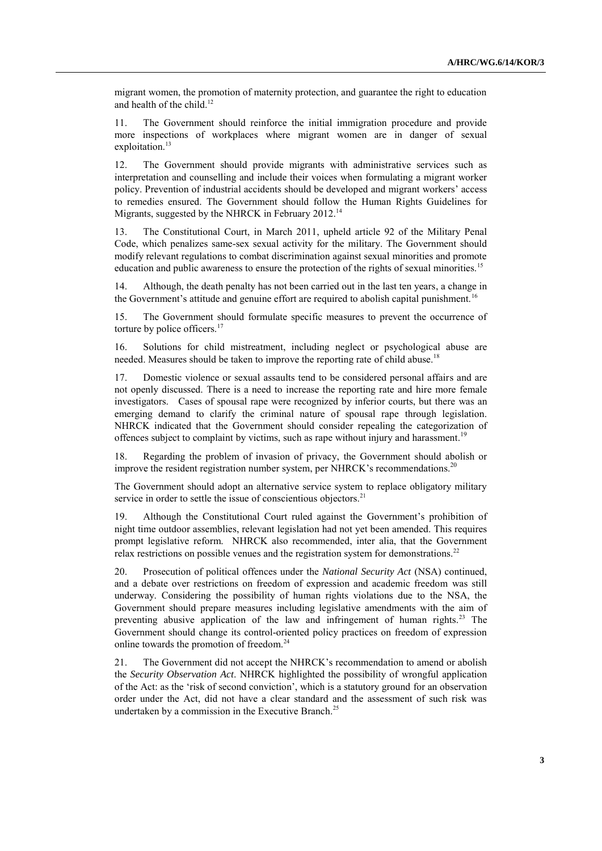migrant women, the promotion of maternity protection, and guarantee the right to education and health of the child.<sup>12</sup>

11. The Government should reinforce the initial immigration procedure and provide more inspections of workplaces where migrant women are in danger of sexual exploitation.<sup>13</sup>

12. The Government should provide migrants with administrative services such as interpretation and counselling and include their voices when formulating a migrant worker policy. Prevention of industrial accidents should be developed and migrant workers" access to remedies ensured. The Government should follow the Human Rights Guidelines for Migrants, suggested by the NHRCK in February 2012.<sup>14</sup>

13. The Constitutional Court, in March 2011, upheld article 92 of the Military Penal Code, which penalizes same-sex sexual activity for the military. The Government should modify relevant regulations to combat discrimination against sexual minorities and promote education and public awareness to ensure the protection of the rights of sexual minorities.<sup>15</sup>

14. Although, the death penalty has not been carried out in the last ten years, a change in the Government's attitude and genuine effort are required to abolish capital punishment.<sup>16</sup>

15. The Government should formulate specific measures to prevent the occurrence of torture by police officers. $17$ 

16. Solutions for child mistreatment, including neglect or psychological abuse are needed. Measures should be taken to improve the reporting rate of child abuse.<sup>18</sup>

Domestic violence or sexual assaults tend to be considered personal affairs and are not openly discussed. There is a need to increase the reporting rate and hire more female investigators. Cases of spousal rape were recognized by inferior courts, but there was an emerging demand to clarify the criminal nature of spousal rape through legislation. NHRCK indicated that the Government should consider repealing the categorization of offences subject to complaint by victims, such as rape without injury and harassment.<sup>19</sup>

18. Regarding the problem of invasion of privacy, the Government should abolish or improve the resident registration number system, per NHRCK's recommendations.<sup>20</sup>

The Government should adopt an alternative service system to replace obligatory military service in order to settle the issue of conscientious objectors.<sup>21</sup>

19. Although the Constitutional Court ruled against the Government"s prohibition of night time outdoor assemblies, relevant legislation had not yet been amended. This requires prompt legislative reform. NHRCK also recommended, inter alia, that the Government relax restrictions on possible venues and the registration system for demonstrations.<sup>22</sup>

20. Prosecution of political offences under the *National Security Act* (NSA) continued, and a debate over restrictions on freedom of expression and academic freedom was still underway. Considering the possibility of human rights violations due to the NSA, the Government should prepare measures including legislative amendments with the aim of preventing abusive application of the law and infringement of human rights.<sup>23</sup> The Government should change its control-oriented policy practices on freedom of expression online towards the promotion of freedom.<sup>24</sup>

21. The Government did not accept the NHRCK"s recommendation to amend or abolish the *Security Observation Act*. NHRCK highlighted the possibility of wrongful application of the Act: as the "risk of second conviction", which is a statutory ground for an observation order under the Act, did not have a clear standard and the assessment of such risk was undertaken by a commission in the Executive Branch.<sup>25</sup>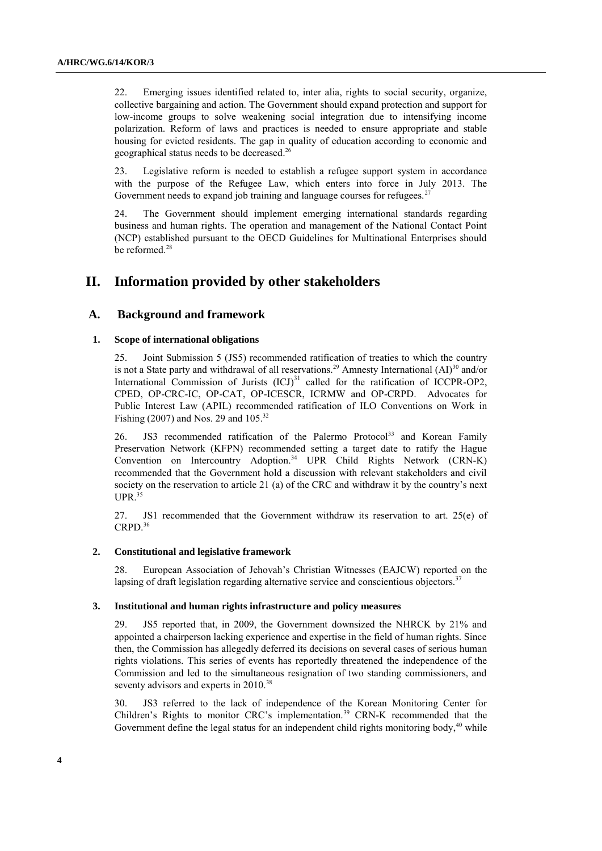22. Emerging issues identified related to, inter alia, rights to social security, organize, collective bargaining and action. The Government should expand protection and support for low-income groups to solve weakening social integration due to intensifying income polarization. Reform of laws and practices is needed to ensure appropriate and stable housing for evicted residents. The gap in quality of education according to economic and geographical status needs to be decreased.<sup>26</sup>

23. Legislative reform is needed to establish a refugee support system in accordance with the purpose of the Refugee Law, which enters into force in July 2013. The Government needs to expand job training and language courses for refugees.<sup>27</sup>

24. The Government should implement emerging international standards regarding business and human rights. The operation and management of the National Contact Point (NCP) established pursuant to the OECD Guidelines for Multinational Enterprises should be reformed.<sup>28</sup>

## **II. Information provided by other stakeholders**

## **A. Background and framework**

#### **1. Scope of international obligations**

25. Joint Submission 5 (JS5) recommended ratification of treaties to which the country is not a State party and withdrawal of all reservations.<sup>29</sup> Amnesty International  $(AI)^{30}$  and/or International Commission of Jurists  $(ICJ)^{31}$  called for the ratification of ICCPR-OP2, CPED, OP-CRC-IC, OP-CAT, OP-ICESCR, ICRMW and OP-CRPD. Advocates for Public Interest Law (APIL) recommended ratification of ILO Conventions on Work in Fishing (2007) and Nos. 29 and 105.<sup>32</sup>

26. JS3 recommended ratification of the Palermo Protocol<sup>33</sup> and Korean Family Preservation Network (KFPN) recommended setting a target date to ratify the Hague Convention on Intercountry Adoption. <sup>34</sup> UPR Child Rights Network (CRN-K) recommended that the Government hold a discussion with relevant stakeholders and civil society on the reservation to article 21 (a) of the CRC and withdraw it by the country's next  $UPR<sup>35</sup>$ 

27. JS1 recommended that the Government withdraw its reservation to art. 25(e) of CRPD. 36

#### **2. Constitutional and legislative framework**

28. European Association of Jehovah"s Christian Witnesses (EAJCW) reported on the lapsing of draft legislation regarding alternative service and conscientious objectors.<sup>37</sup>

#### **3. Institutional and human rights infrastructure and policy measures**

29. JS5 reported that, in 2009, the Government downsized the NHRCK by 21% and appointed a chairperson lacking experience and expertise in the field of human rights. Since then, the Commission has allegedly deferred its decisions on several cases of serious human rights violations. This series of events has reportedly threatened the independence of the Commission and led to the simultaneous resignation of two standing commissioners, and seventy advisors and experts in 2010.<sup>38</sup>

30. JS3 referred to the lack of independence of the Korean Monitoring Center for Children's Rights to monitor CRC's implementation.<sup>39</sup> CRN-K recommended that the Government define the legal status for an independent child rights monitoring body,<sup>40</sup> while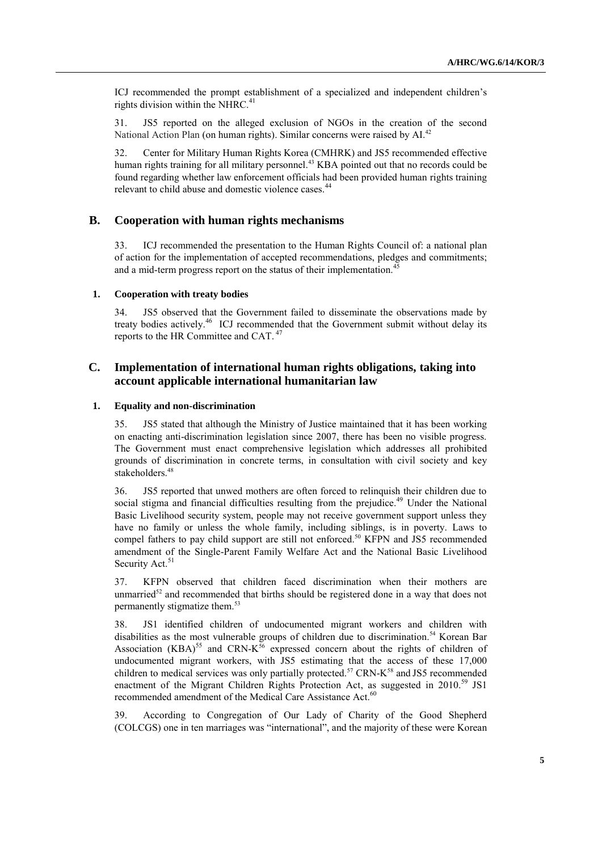ICJ recommended the prompt establishment of a specialized and independent children"s rights division within the NHRC. $41$ 

31. JS5 reported on the alleged exclusion of NGOs in the creation of the second National Action Plan (on human rights). Similar concerns were raised by  $AI^{42}$ 

32. Center for Military Human Rights Korea (CMHRK) and JS5 recommended effective human rights training for all military personnel.<sup>43</sup> KBA pointed out that no records could be found regarding whether law enforcement officials had been provided human rights training relevant to child abuse and domestic violence cases.<sup>44</sup>

## **B. Cooperation with human rights mechanisms**

33. ICJ recommended the presentation to the Human Rights Council of: a national plan of action for the implementation of accepted recommendations, pledges and commitments; and a mid-term progress report on the status of their implementation.<sup>45</sup>

### **1. Cooperation with treaty bodies**

34. JS5 observed that the Government failed to disseminate the observations made by treaty bodies actively. <sup>46</sup> ICJ recommended that the Government submit without delay its reports to the HR Committee and CAT. <sup>47</sup>

## **C. Implementation of international human rights obligations, taking into account applicable international humanitarian law**

## **1. Equality and non-discrimination**

35. JS5 stated that although the Ministry of Justice maintained that it has been working on enacting anti-discrimination legislation since 2007, there has been no visible progress. The Government must enact comprehensive legislation which addresses all prohibited grounds of discrimination in concrete terms, in consultation with civil society and key stakeholders.<sup>48</sup>

36. JS5 reported that unwed mothers are often forced to relinquish their children due to social stigma and financial difficulties resulting from the prejudice.<sup>49</sup> Under the National Basic Livelihood security system, people may not receive government support unless they have no family or unless the whole family, including siblings, is in poverty. Laws to compel fathers to pay child support are still not enforced.<sup>50</sup> KFPN and JS5 recommended amendment of the Single-Parent Family Welfare Act and the National Basic Livelihood Security Act.<sup>51</sup>

37. KFPN observed that children faced discrimination when their mothers are unmarried<sup>52</sup> and recommended that births should be registered done in a way that does not permanently stigmatize them. 53

38. JS1 identified children of undocumented migrant workers and children with disabilities as the most vulnerable groups of children due to discrimination. <sup>54</sup> Korean Bar Association (KBA)<sup>55</sup> and CRN-K<sup>56</sup> expressed concern about the rights of children of undocumented migrant workers, with JS5 estimating that the access of these 17,000 children to medical services was only partially protected.<sup>57</sup> CRN-K<sup>58</sup> and JS5 recommended enactment of the Migrant Children Rights Protection Act, as suggested in 2010.<sup>59</sup> JS1 recommended amendment of the Medical Care Assistance Act.<sup>60</sup>

39. According to Congregation of Our Lady of Charity of the Good Shepherd (COLCGS) one in ten marriages was "international", and the majority of these were Korean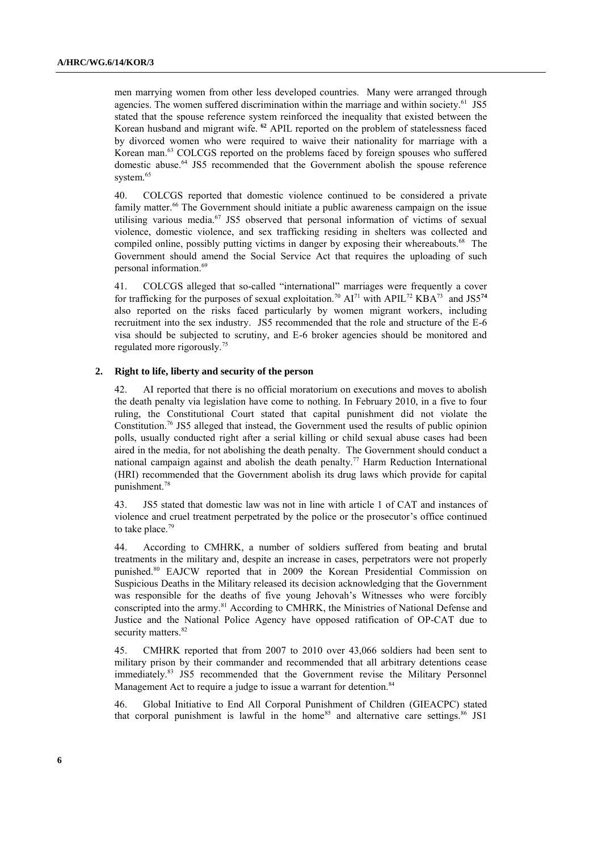men marrying women from other less developed countries. Many were arranged through agencies. The women suffered discrimination within the marriage and within society.<sup>61</sup> JS5 stated that the spouse reference system reinforced the inequality that existed between the Korean husband and migrant wife. **<sup>62</sup>** APIL reported on the problem of statelessness faced by divorced women who were required to waive their nationality for marriage with a Korean man.<sup>63</sup> COLCGS reported on the problems faced by foreign spouses who suffered domestic abuse.<sup>64</sup> JS5 recommended that the Government abolish the spouse reference system.<sup>65</sup>

40. COLCGS reported that domestic violence continued to be considered a private family matter.<sup>66</sup> The Government should initiate a public awareness campaign on the issue utilising various media. <sup>67</sup> JS5 observed that personal information of victims of sexual violence, domestic violence, and sex trafficking residing in shelters was collected and compiled online, possibly putting victims in danger by exposing their whereabouts.<sup>68</sup> The Government should amend the Social Service Act that requires the uploading of such personal information. 69

41. COLCGS alleged that so-called "international" marriages were frequently a cover for trafficking for the purposes of sexual exploitation.<sup>70</sup> AI<sup>71</sup> with APIL<sup>72</sup> KBA<sup>73</sup> and JS5<sup>74</sup> also reported on the risks faced particularly by women migrant workers, including recruitment into the sex industry. JS5 recommended that the role and structure of the E-6 visa should be subjected to scrutiny, and E-6 broker agencies should be monitored and regulated more rigorously.<sup>75</sup>

#### **2. Right to life, liberty and security of the person**

42. AI reported that there is no official moratorium on executions and moves to abolish the death penalty via legislation have come to nothing. In February 2010, in a five to four ruling, the Constitutional Court stated that capital punishment did not violate the Constitution.<sup>76</sup> JS5 alleged that instead, the Government used the results of public opinion polls, usually conducted right after a serial killing or child sexual abuse cases had been aired in the media, for not abolishing the death penalty. The Government should conduct a national campaign against and abolish the death penalty.<sup>77</sup> Harm Reduction International (HRI) recommended that the Government abolish its drug laws which provide for capital punishment. 78

43. JS5 stated that domestic law was not in line with article 1 of CAT and instances of violence and cruel treatment perpetrated by the police or the prosecutor's office continued to take place.<sup>79</sup>

44. According to CMHRK, a number of soldiers suffered from beating and brutal treatments in the military and, despite an increase in cases, perpetrators were not properly punished.<sup>80</sup> EAJCW reported that in 2009 the Korean Presidential Commission on Suspicious Deaths in the Military released its decision acknowledging that the Government was responsible for the deaths of five young Jehovah"s Witnesses who were forcibly conscripted into the army.<sup>81</sup> According to CMHRK, the Ministries of National Defense and Justice and the National Police Agency have opposed ratification of OP-CAT due to security matters.<sup>82</sup>

45. CMHRK reported that from 2007 to 2010 over 43,066 soldiers had been sent to military prison by their commander and recommended that all arbitrary detentions cease immediately.<sup>83</sup> JS5 recommended that the Government revise the Military Personnel Management Act to require a judge to issue a warrant for detention.<sup>84</sup>

46. Global Initiative to End All Corporal Punishment of Children (GIEACPC) stated that corporal punishment is lawful in the home<sup>85</sup> and alternative care settings.<sup>86</sup> JS1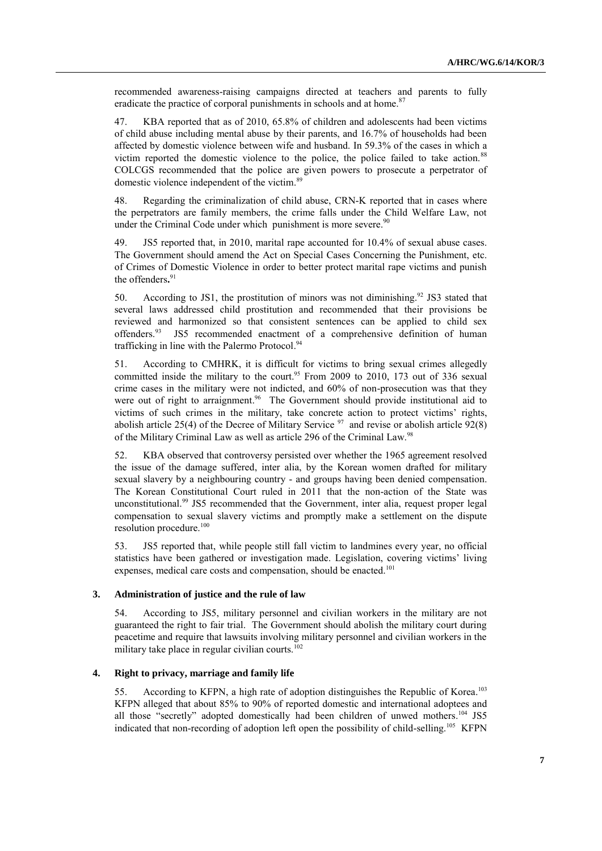recommended awareness-raising campaigns directed at teachers and parents to fully eradicate the practice of corporal punishments in schools and at home.<sup>87</sup>

47. KBA reported that as of 2010, 65.8% of children and adolescents had been victims of child abuse including mental abuse by their parents, and 16.7% of households had been affected by domestic violence between wife and husband. In 59.3% of the cases in which a victim reported the domestic violence to the police, the police failed to take action.<sup>88</sup> COLCGS recommended that the police are given powers to prosecute a perpetrator of domestic violence independent of the victim.<sup>89</sup>

48. Regarding the criminalization of child abuse, CRN-K reported that in cases where the perpetrators are family members, the crime falls under the Child Welfare Law, not under the Criminal Code under which punishment is more severe.<sup>90</sup>

49. JS5 reported that, in 2010, marital rape accounted for 10.4% of sexual abuse cases. The Government should amend the Act on Special Cases Concerning the Punishment, etc. of Crimes of Domestic Violence in order to better protect marital rape victims and punish the offenders**.** 91

50. According to JS1, the prostitution of minors was not diminishing.<sup>92</sup> JS3 stated that several laws addressed child prostitution and recommended that their provisions be reviewed and harmonized so that consistent sentences can be applied to child sex offenders.<sup>93</sup> JS5 recommended enactment of a comprehensive definition of human trafficking in line with the Palermo Protocol. 94

51. According to CMHRK, it is difficult for victims to bring sexual crimes allegedly committed inside the military to the court. <sup>95</sup> From 2009 to 2010, 173 out of 336 sexual crime cases in the military were not indicted, and 60% of non-prosecution was that they were out of right to arraignment.<sup>96</sup> The Government should provide institutional aid to victims of such crimes in the military, take concrete action to protect victims' rights, abolish article 25(4) of the Decree of Military Service  $\frac{97}{1}$  and revise or abolish article 92(8) of the Military Criminal Law as well as article 296 of the Criminal Law.<sup>98</sup>

52. KBA observed that controversy persisted over whether the 1965 agreement resolved the issue of the damage suffered, inter alia, by the Korean women drafted for military sexual slavery by a neighbouring country - and groups having been denied compensation. The Korean Constitutional Court ruled in 2011 that the non-action of the State was unconstitutional.<sup>99</sup> JS5 recommended that the Government, inter alia, request proper legal compensation to sexual slavery victims and promptly make a settlement on the dispute resolution procedure.<sup>100</sup>

53. JS5 reported that, while people still fall victim to landmines every year, no official statistics have been gathered or investigation made. Legislation, covering victims' living expenses, medical care costs and compensation, should be enacted.<sup>101</sup>

#### **3. Administration of justice and the rule of law**

54. According to JS5, military personnel and civilian workers in the military are not guaranteed the right to fair trial. The Government should abolish the military court during peacetime and require that lawsuits involving military personnel and civilian workers in the military take place in regular civilian courts. $102$ 

## **4. Right to privacy, marriage and family life**

55. According to KFPN, a high rate of adoption distinguishes the Republic of Korea.<sup>103</sup> KFPN alleged that about 85% to 90% of reported domestic and international adoptees and all those "secretly" adopted domestically had been children of unwed mothers.<sup>104</sup> JS5 indicated that non-recording of adoption left open the possibility of child-selling.<sup>105</sup> KFPN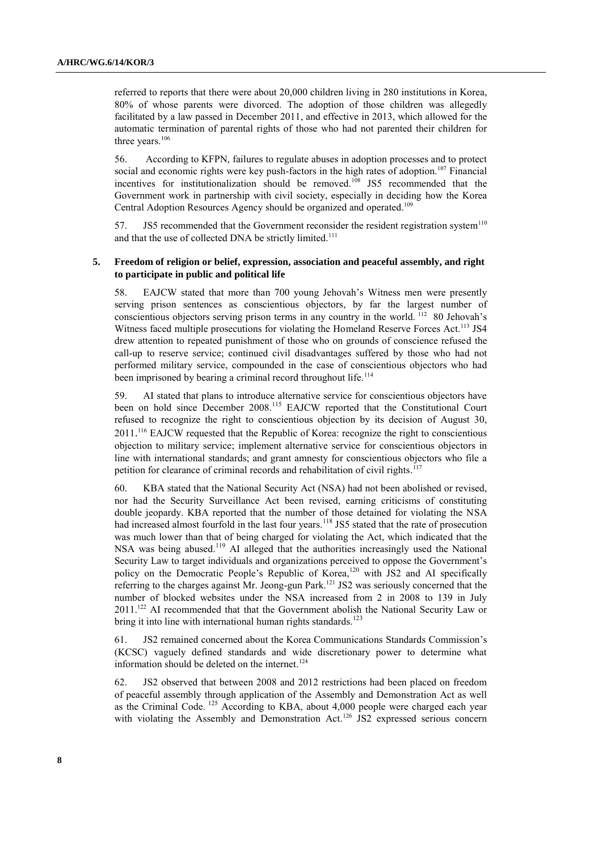referred to reports that there were about 20,000 children living in 280 institutions in Korea, 80% of whose parents were divorced. The adoption of those children was allegedly facilitated by a law passed in December 2011, and effective in 2013, which allowed for the automatic termination of parental rights of those who had not parented their children for three years.<sup>106</sup>

56. According to KFPN, failures to regulate abuses in adoption processes and to protect social and economic rights were key push-factors in the high rates of adoption.<sup>107</sup> Financial incentives for institutionalization should be removed. <sup>108</sup> JS5 recommended that the Government work in partnership with civil society, especially in deciding how the Korea Central Adoption Resources Agency should be organized and operated.<sup>109</sup>

57. JS5 recommended that the Government reconsider the resident registration system<sup>110</sup> and that the use of collected DNA be strictly limited.<sup>111</sup>

## **5. Freedom of religion or belief, expression, association and peaceful assembly, and right to participate in public and political life**

58. EAJCW stated that more than 700 young Jehovah"s Witness men were presently serving prison sentences as conscientious objectors, by far the largest number of conscientious objectors serving prison terms in any country in the world. <sup>112</sup> 80 Jehovah's Witness faced multiple prosecutions for violating the Homeland Reserve Forces Act.<sup>113</sup> JS4 drew attention to repeated punishment of those who on grounds of conscience refused the call-up to reserve service; continued civil disadvantages suffered by those who had not performed military service, compounded in the case of conscientious objectors who had been imprisoned by bearing a criminal record throughout life.<sup>114</sup>

59. AI stated that plans to introduce alternative service for conscientious objectors have been on hold since December 2008.<sup>115</sup> EAJCW reported that the Constitutional Court refused to recognize the right to conscientious objection by its decision of August 30, 2011. <sup>116</sup> EAJCW requested that the Republic of Korea: recognize the right to conscientious objection to military service; implement alternative service for conscientious objectors in line with international standards; and grant amnesty for conscientious objectors who file a petition for clearance of criminal records and rehabilitation of civil rights.<sup>117</sup>

60. KBA stated that the National Security Act (NSA) had not been abolished or revised, nor had the Security Surveillance Act been revised, earning criticisms of constituting double jeopardy. KBA reported that the number of those detained for violating the NSA had increased almost fourfold in the last four years.<sup>118</sup> JS5 stated that the rate of prosecution was much lower than that of being charged for violating the Act, which indicated that the NSA was being abused.<sup>119</sup> AI alleged that the authorities increasingly used the National Security Law to target individuals and organizations perceived to oppose the Government's policy on the Democratic People's Republic of Korea,<sup>120</sup> with JS2 and AI specifically referring to the charges against Mr. Jeong-gun Park.<sup>121</sup> JS2 was seriously concerned that the number of blocked websites under the NSA increased from 2 in 2008 to 139 in July 2011.<sup>122</sup> AI recommended that that the Government abolish the National Security Law or bring it into line with international human rights standards.<sup>123</sup>

61. JS2 remained concerned about the Korea Communications Standards Commission"s (KCSC) vaguely defined standards and wide discretionary power to determine what information should be deleted on the internet. 124

62. JS2 observed that between 2008 and 2012 restrictions had been placed on freedom of peaceful assembly through application of the Assembly and Demonstration Act as well as the Criminal Code. <sup>125</sup> According to KBA, about 4,000 people were charged each year with violating the Assembly and Demonstration Act.<sup>126</sup> JS2 expressed serious concern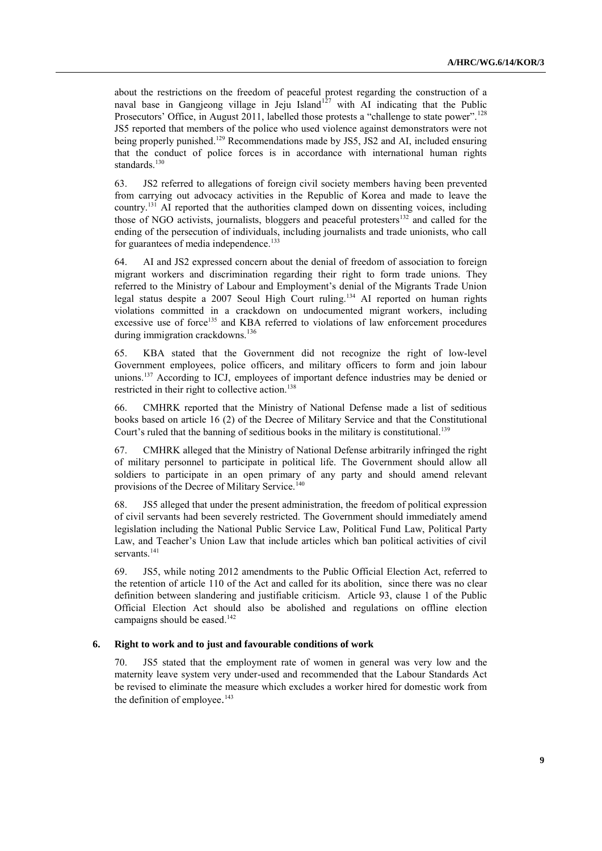about the restrictions on the freedom of peaceful protest regarding the construction of a naval base in Gangjeong village in Jeju Island<sup>127</sup> with AI indicating that the Public Prosecutors' Office, in August 2011, labelled those protests a "challenge to state power".<sup>128</sup> JS5 reported that members of the police who used violence against demonstrators were not being properly punished.<sup>129</sup> Recommendations made by JS5, JS2 and AI, included ensuring that the conduct of police forces is in accordance with international human rights standards.<sup>130</sup>

63. JS2 referred to allegations of foreign civil society members having been prevented from carrying out advocacy activities in the Republic of Korea and made to leave the country.<sup>131</sup> AI reported that the authorities clamped down on dissenting voices, including those of NGO activists, journalists, bloggers and peaceful protesters<sup>132</sup> and called for the ending of the persecution of individuals, including journalists and trade unionists, who call for guarantees of media independence.<sup>133</sup>

64. AI and JS2 expressed concern about the denial of freedom of association to foreign migrant workers and discrimination regarding their right to form trade unions. They referred to the Ministry of Labour and Employment"s denial of the Migrants Trade Union legal status despite a 2007 Seoul High Court ruling.<sup>134</sup> AI reported on human rights violations committed in a crackdown on undocumented migrant workers, including excessive use of force<sup>135</sup> and KBA referred to violations of law enforcement procedures during immigration crackdowns.<sup>136</sup>

65. KBA stated that the Government did not recognize the right of low-level Government employees, police officers, and military officers to form and join labour unions.<sup>137</sup> According to ICJ, employees of important defence industries may be denied or restricted in their right to collective action.<sup>138</sup>

66. CMHRK reported that the Ministry of National Defense made a list of seditious books based on article 16 (2) of the Decree of Military Service and that the Constitutional Court's ruled that the banning of seditious books in the military is constitutional.<sup>139</sup>

67. CMHRK alleged that the Ministry of National Defense arbitrarily infringed the right of military personnel to participate in political life. The Government should allow all soldiers to participate in an open primary of any party and should amend relevant provisions of the Decree of Military Service.<sup>140</sup>

68. JS5 alleged that under the present administration, the freedom of political expression of civil servants had been severely restricted. The Government should immediately amend legislation including the National Public Service Law, Political Fund Law, Political Party Law, and Teacher"s Union Law that include articles which ban political activities of civil servants.<sup>141</sup>

69. JS5, while noting 2012 amendments to the Public Official Election Act, referred to the retention of article 110 of the Act and called for its abolition, since there was no clear definition between slandering and justifiable criticism. Article 93, clause 1 of the Public Official Election Act should also be abolished and regulations on offline election campaigns should be eased. 142

#### **6. Right to work and to just and favourable conditions of work**

70. JS5 stated that the employment rate of women in general was very low and the maternity leave system very under-used and recommended that the Labour Standards Act be revised to eliminate the measure which excludes a worker hired for domestic work from the definition of employee.<sup>143</sup>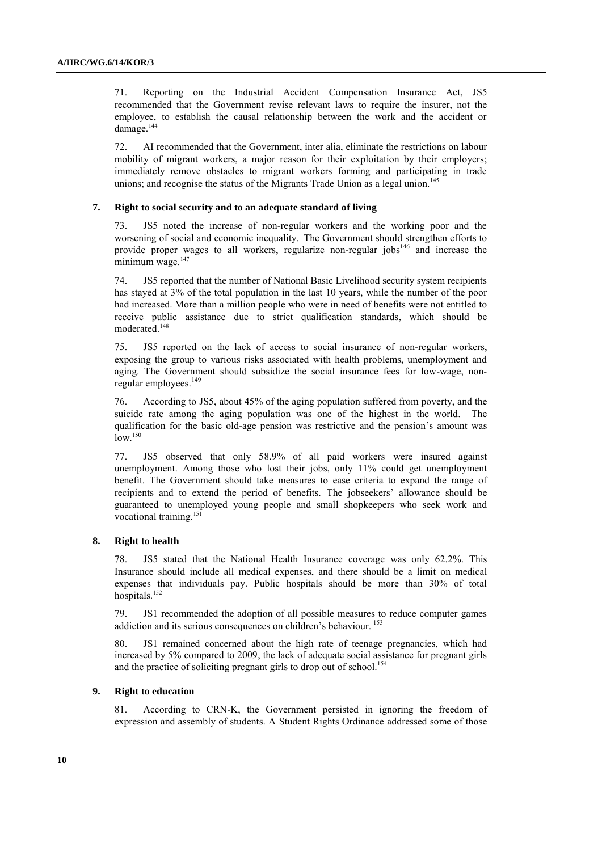71. Reporting on the Industrial Accident Compensation Insurance Act, JS5 recommended that the Government revise relevant laws to require the insurer, not the employee, to establish the causal relationship between the work and the accident or damage.<sup>144</sup>

72. AI recommended that the Government, inter alia, eliminate the restrictions on labour mobility of migrant workers, a major reason for their exploitation by their employers; immediately remove obstacles to migrant workers forming and participating in trade unions; and recognise the status of the Migrants Trade Union as a legal union.<sup>145</sup>

## **7. Right to social security and to an adequate standard of living**

73. JS5 noted the increase of non-regular workers and the working poor and the worsening of social and economic inequality. The Government should strengthen efforts to provide proper wages to all workers, regularize non-regular  $i$  obs<sup>146</sup> and increase the  $minimum$  wage. $147$ 

74. JS5 reported that the number of National Basic Livelihood security system recipients has stayed at 3% of the total population in the last 10 years, while the number of the poor had increased. More than a million people who were in need of benefits were not entitled to receive public assistance due to strict qualification standards, which should be moderated.<sup>148</sup>

75. JS5 reported on the lack of access to social insurance of non-regular workers, exposing the group to various risks associated with health problems, unemployment and aging. The Government should subsidize the social insurance fees for low-wage, nonregular employees.<sup>149</sup>

76. According to JS5, about 45% of the aging population suffered from poverty, and the suicide rate among the aging population was one of the highest in the world. The qualification for the basic old-age pension was restrictive and the pension"s amount was  $low.<sup>150</sup>$ 

77. JS5 observed that only 58.9% of all paid workers were insured against unemployment. Among those who lost their jobs, only 11% could get unemployment benefit. The Government should take measures to ease criteria to expand the range of recipients and to extend the period of benefits. The jobseekers" allowance should be guaranteed to unemployed young people and small shopkeepers who seek work and vocational training.<sup>151</sup>

#### **8. Right to health**

78. JS5 stated that the National Health Insurance coverage was only 62.2%. This Insurance should include all medical expenses, and there should be a limit on medical expenses that individuals pay. Public hospitals should be more than 30% of total hospitals.<sup>152</sup>

79. JS1 recommended the adoption of all possible measures to reduce computer games addiction and its serious consequences on children's behaviour. <sup>153</sup>

80. JS1 remained concerned about the high rate of teenage pregnancies, which had increased by 5% compared to 2009, the lack of adequate social assistance for pregnant girls and the practice of soliciting pregnant girls to drop out of school.<sup>154</sup>

#### **9. Right to education**

81. According to CRN-K, the Government persisted in ignoring the freedom of expression and assembly of students. A Student Rights Ordinance addressed some of those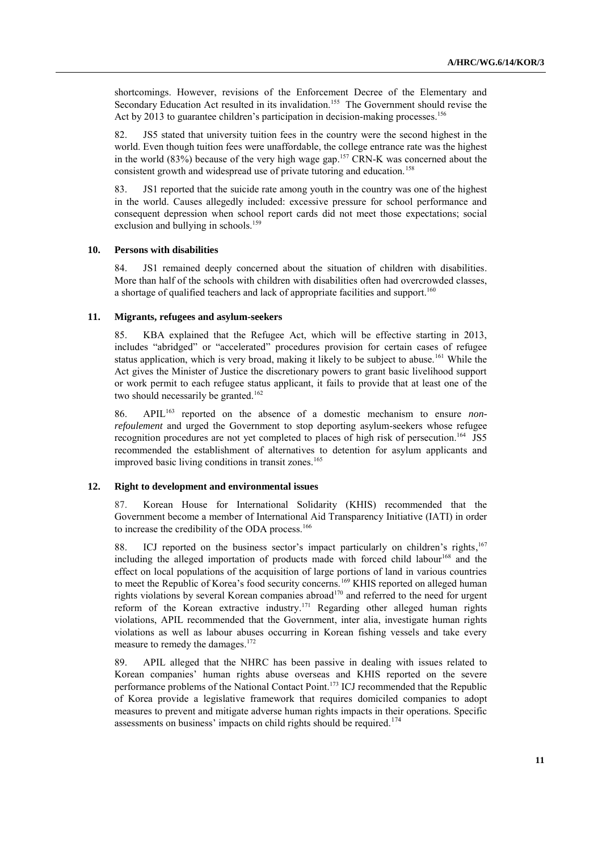shortcomings. However, revisions of the Enforcement Decree of the Elementary and Secondary Education Act resulted in its invalidation.<sup>155</sup> The Government should revise the Act by 2013 to guarantee children's participation in decision-making processes.<sup>156</sup>

82. JS5 stated that university tuition fees in the country were the second highest in the world. Even though tuition fees were unaffordable, the college entrance rate was the highest in the world  $(83%)$  because of the very high wage gap.<sup>157</sup> CRN-K was concerned about the consistent growth and widespread use of private tutoring and education.<sup>158</sup>

83. JS1 reported that the suicide rate among youth in the country was one of the highest in the world. Causes allegedly included: excessive pressure for school performance and consequent depression when school report cards did not meet those expectations; social exclusion and bullying in schools.<sup>159</sup>

### **10. Persons with disabilities**

84. JS1 remained deeply concerned about the situation of children with disabilities. More than half of the schools with children with disabilities often had overcrowded classes, a shortage of qualified teachers and lack of appropriate facilities and support.<sup>160</sup>

### **11. Migrants, refugees and asylum-seekers**

85. KBA explained that the Refugee Act, which will be effective starting in 2013, includes "abridged" or "accelerated" procedures provision for certain cases of refugee status application, which is very broad, making it likely to be subject to abuse.<sup>161</sup> While the Act gives the Minister of Justice the discretionary powers to grant basic livelihood support or work permit to each refugee status applicant, it fails to provide that at least one of the two should necessarily be granted.<sup>162</sup>

86. APIL<sup>163</sup> reported on the absence of a domestic mechanism to ensure *nonrefoulement* and urged the Government to stop deporting asylum-seekers whose refugee recognition procedures are not yet completed to places of high risk of persecution. <sup>164</sup> JS5 recommended the establishment of alternatives to detention for asylum applicants and improved basic living conditions in transit zones. 165

#### **12. Right to development and environmental issues**

87. Korean House for International Solidarity (KHIS) recommended that the Government become a member of International Aid Transparency Initiative (IATI) in order to increase the credibility of the ODA process.<sup>166</sup>

88. ICJ reported on the business sector's impact particularly on children's rights,<sup>167</sup> including the alleged importation of products made with forced child labour<sup>168</sup> and the effect on local populations of the acquisition of large portions of land in various countries to meet the Republic of Korea's food security concerns.<sup>169</sup> KHIS reported on alleged human rights violations by several Korean companies abroad<sup>170</sup> and referred to the need for urgent reform of the Korean extractive industry. <sup>171</sup> Regarding other alleged human rights violations, APIL recommended that the Government, inter alia, investigate human rights violations as well as labour abuses occurring in Korean fishing vessels and take every measure to remedy the damages. 172

89. APIL alleged that the NHRC has been passive in dealing with issues related to Korean companies" human rights abuse overseas and KHIS reported on the severe performance problems of the National Contact Point. <sup>173</sup> ICJ recommended that the Republic of Korea provide a legislative framework that requires domiciled companies to adopt measures to prevent and mitigate adverse human rights impacts in their operations. Specific assessments on business' impacts on child rights should be required.<sup>174</sup>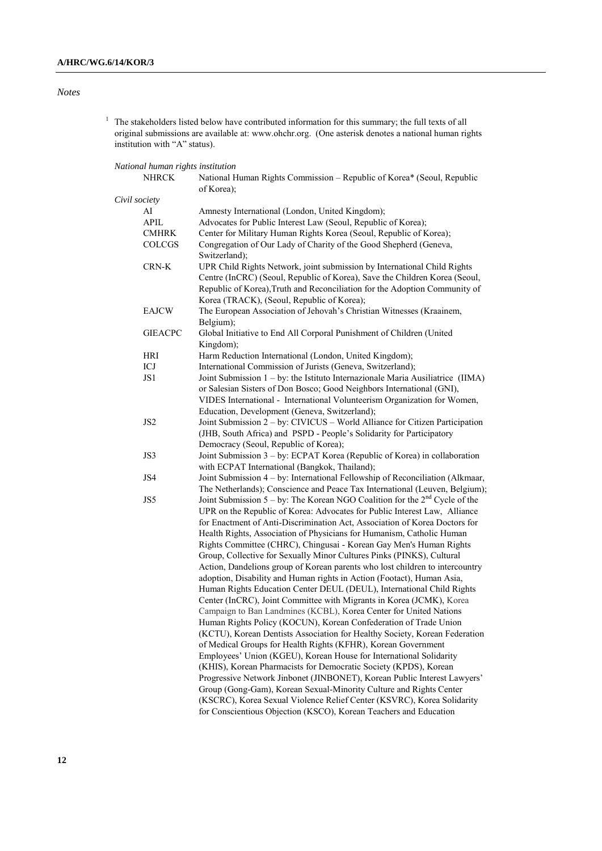## *Notes*

 $1$  The stakeholders listed below have contributed information for this summary; the full texts of all original submissions are available at: [www.ohchr.org.](http://www.ohchr.org/) (One asterisk denotes a national human rights institution with "A" status).

## *National human rights institution*

| National Human Rights Commission – Republic of Korea* (Seoul, Republic<br>of Korea);                                                                                                                                                                                                                                                                                                                                                                                                                                                                                                                                                                                                                                                                                                                                                                                                                                                                                                                                                                                                                                                                                                                                                                                                                                                                                                                                                                                                                             |
|------------------------------------------------------------------------------------------------------------------------------------------------------------------------------------------------------------------------------------------------------------------------------------------------------------------------------------------------------------------------------------------------------------------------------------------------------------------------------------------------------------------------------------------------------------------------------------------------------------------------------------------------------------------------------------------------------------------------------------------------------------------------------------------------------------------------------------------------------------------------------------------------------------------------------------------------------------------------------------------------------------------------------------------------------------------------------------------------------------------------------------------------------------------------------------------------------------------------------------------------------------------------------------------------------------------------------------------------------------------------------------------------------------------------------------------------------------------------------------------------------------------|
|                                                                                                                                                                                                                                                                                                                                                                                                                                                                                                                                                                                                                                                                                                                                                                                                                                                                                                                                                                                                                                                                                                                                                                                                                                                                                                                                                                                                                                                                                                                  |
| Amnesty International (London, United Kingdom);                                                                                                                                                                                                                                                                                                                                                                                                                                                                                                                                                                                                                                                                                                                                                                                                                                                                                                                                                                                                                                                                                                                                                                                                                                                                                                                                                                                                                                                                  |
| Advocates for Public Interest Law (Seoul, Republic of Korea);                                                                                                                                                                                                                                                                                                                                                                                                                                                                                                                                                                                                                                                                                                                                                                                                                                                                                                                                                                                                                                                                                                                                                                                                                                                                                                                                                                                                                                                    |
| Center for Military Human Rights Korea (Seoul, Republic of Korea);                                                                                                                                                                                                                                                                                                                                                                                                                                                                                                                                                                                                                                                                                                                                                                                                                                                                                                                                                                                                                                                                                                                                                                                                                                                                                                                                                                                                                                               |
| Congregation of Our Lady of Charity of the Good Shepherd (Geneva,<br>Switzerland);                                                                                                                                                                                                                                                                                                                                                                                                                                                                                                                                                                                                                                                                                                                                                                                                                                                                                                                                                                                                                                                                                                                                                                                                                                                                                                                                                                                                                               |
| UPR Child Rights Network, joint submission by International Child Rights<br>Centre (InCRC) (Seoul, Republic of Korea), Save the Children Korea (Seoul,<br>Republic of Korea), Truth and Reconciliation for the Adoption Community of<br>Korea (TRACK), (Seoul, Republic of Korea);                                                                                                                                                                                                                                                                                                                                                                                                                                                                                                                                                                                                                                                                                                                                                                                                                                                                                                                                                                                                                                                                                                                                                                                                                               |
| The European Association of Jehovah's Christian Witnesses (Kraainem,<br>Belgium);                                                                                                                                                                                                                                                                                                                                                                                                                                                                                                                                                                                                                                                                                                                                                                                                                                                                                                                                                                                                                                                                                                                                                                                                                                                                                                                                                                                                                                |
| Global Initiative to End All Corporal Punishment of Children (United<br>Kingdom);                                                                                                                                                                                                                                                                                                                                                                                                                                                                                                                                                                                                                                                                                                                                                                                                                                                                                                                                                                                                                                                                                                                                                                                                                                                                                                                                                                                                                                |
| Harm Reduction International (London, United Kingdom);                                                                                                                                                                                                                                                                                                                                                                                                                                                                                                                                                                                                                                                                                                                                                                                                                                                                                                                                                                                                                                                                                                                                                                                                                                                                                                                                                                                                                                                           |
| International Commission of Jurists (Geneva, Switzerland);                                                                                                                                                                                                                                                                                                                                                                                                                                                                                                                                                                                                                                                                                                                                                                                                                                                                                                                                                                                                                                                                                                                                                                                                                                                                                                                                                                                                                                                       |
| Joint Submission 1 – by: the Istituto Internazionale Maria Ausiliatrice (IIMA)<br>or Salesian Sisters of Don Bosco; Good Neighbors International (GNI),<br>VIDES International - International Volunteerism Organization for Women,<br>Education, Development (Geneva, Switzerland);                                                                                                                                                                                                                                                                                                                                                                                                                                                                                                                                                                                                                                                                                                                                                                                                                                                                                                                                                                                                                                                                                                                                                                                                                             |
| Joint Submission 2 – by: CIVICUS – World Alliance for Citizen Participation<br>(JHB, South Africa) and PSPD - People's Solidarity for Participatory<br>Democracy (Seoul, Republic of Korea);                                                                                                                                                                                                                                                                                                                                                                                                                                                                                                                                                                                                                                                                                                                                                                                                                                                                                                                                                                                                                                                                                                                                                                                                                                                                                                                     |
| Joint Submission 3 - by: ECPAT Korea (Republic of Korea) in collaboration<br>with ECPAT International (Bangkok, Thailand);                                                                                                                                                                                                                                                                                                                                                                                                                                                                                                                                                                                                                                                                                                                                                                                                                                                                                                                                                                                                                                                                                                                                                                                                                                                                                                                                                                                       |
| Joint Submission 4 - by: International Fellowship of Reconciliation (Alkmaar,<br>The Netherlands); Conscience and Peace Tax International (Leuven, Belgium);                                                                                                                                                                                                                                                                                                                                                                                                                                                                                                                                                                                                                                                                                                                                                                                                                                                                                                                                                                                                                                                                                                                                                                                                                                                                                                                                                     |
| Joint Submission $5 - by$ : The Korean NGO Coalition for the $2nd$ Cycle of the<br>UPR on the Republic of Korea: Advocates for Public Interest Law, Alliance<br>for Enactment of Anti-Discrimination Act, Association of Korea Doctors for<br>Health Rights, Association of Physicians for Humanism, Catholic Human<br>Rights Committee (CHRC), Chingusai - Korean Gay Men's Human Rights<br>Group, Collective for Sexually Minor Cultures Pinks (PINKS), Cultural<br>Action, Dandelions group of Korean parents who lost children to intercountry<br>adoption, Disability and Human rights in Action (Footact), Human Asia,<br>Human Rights Education Center DEUL (DEUL), International Child Rights<br>Center (InCRC), Joint Committee with Migrants in Korea (JCMK), Korea<br>Campaign to Ban Landmines (KCBL), Korea Center for United Nations<br>Human Rights Policy (KOCUN), Korean Confederation of Trade Union<br>(KCTU), Korean Dentists Association for Healthy Society, Korean Federation<br>of Medical Groups for Health Rights (KFHR), Korean Government<br>Employees' Union (KGEU), Korean House for International Solidarity<br>(KHIS), Korean Pharmacists for Democratic Society (KPDS), Korean<br>Progressive Network Jinbonet (JINBONET), Korean Public Interest Lawyers'<br>Group (Gong-Gam), Korean Sexual-Minority Culture and Rights Center<br>(KSCRC), Korea Sexual Violence Relief Center (KSVRC), Korea Solidarity<br>for Conscientious Objection (KSCO), Korean Teachers and Education |
|                                                                                                                                                                                                                                                                                                                                                                                                                                                                                                                                                                                                                                                                                                                                                                                                                                                                                                                                                                                                                                                                                                                                                                                                                                                                                                                                                                                                                                                                                                                  |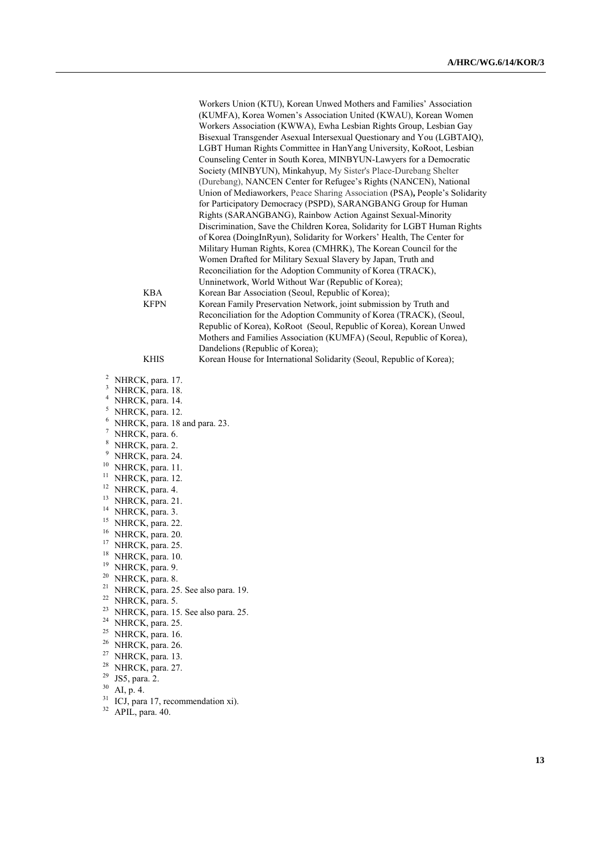Workers Union (KTU), Korean Unwed Mothers and Families" Association (KUMFA), Korea Women"s Association United (KWAU), Korean Women Workers Association (KWWA), Ewha Lesbian Rights Group, Lesbian Gay Bisexual Transgender Asexual Intersexual Questionary and You (LGBTAIQ), LGBT Human Rights Committee in HanYang University, KoRoot, Lesbian Counseling Center in South Korea, MINBYUN-Lawyers for a Democratic Society (MINBYUN), Minkahyup, My Sister's Place-Durebang Shelter (Durebang), NANCEN Center for Refugee"s Rights (NANCEN), National Union of Mediaworkers, Peace Sharing Association (PSA)**,** People"s Solidarity for Participatory Democracy (PSPD), SARANGBANG Group for Human Rights (SARANGBANG), Rainbow Action Against Sexual-Minority Discrimination, Save the Children Korea, Solidarity for LGBT Human Rights of Korea (DoingInRyun), Solidarity for Workers" Health, The Center for Military Human Rights, Korea (CMHRK), The Korean Council for the Women Drafted for Military Sexual Slavery by Japan, Truth and Reconciliation for the Adoption Community of Korea (TRACK), Unninetwork, World Without War (Republic of Korea); KBA Korean Bar Association (Seoul, Republic of Korea);<br>
KEPN Korean Family Preservation Network, joint submissi Korean Family Preservation Network, joint submission by Truth and Reconciliation for the Adoption Community of Korea (TRACK), (Seoul, Republic of Korea), KoRoot (Seoul, Republic of Korea), Korean Unwed Mothers and Families Association (KUMFA) (Seoul, Republic of Korea), Dandelions (Republic of Korea);

## KHIS Korean House for International Solidarity (Seoul, Republic of Korea);

- <sup>2</sup> NHRCK, para. 17.
- <sup>3</sup> NHRCK, para. 18.
- <sup>4</sup> NHRCK, para. 14.
- <sup>5</sup> NHRCK, para. 12.
- $^{6}$  NHRCK, para. 18 and para. 23.
- NHRCK, para. 6.
- 
- $\frac{8}{9}$  NHRCK, para. 2. NHRCK, para. 24.
- <sup>10</sup> NHRCK, para. 11.
- <sup>11</sup> NHRCK, para. 12.
- <sup>12</sup> NHRCK, para. 4.
- <sup>13</sup> NHRCK, para. 21.
- 
- <sup>14</sup> NHRCK, para. 3.
- <sup>15</sup> NHRCK, para. 22.
- <sup>16</sup> NHRCK, para. 20.
- <sup>17</sup> NHRCK, para. 25.
- <sup>18</sup> NHRCK, para. 10.
- <sup>19</sup> NHRCK, para. 9.
- <sup>20</sup> NHRCK, para. 8.
- <sup>21</sup> NHRCK, para. 25. See also para. 19.
- <sup>22</sup> NHRCK, para. 5.
- <sup>23</sup> NHRCK, para. 15. See also para. 25.
- <sup>24</sup> NHRCK, para. 25.
- <sup>25</sup> NHRCK, para. 16.
- <sup>26</sup> NHRCK, para. 26.
- $27$  NHRCK, para. 13.
- $^{28}$  NHRCK, para. 27.
- $^{29}$  JS5, para. 2.<br> $^{30}$  AL p. 4.
- AI, p. 4.
- $^{31}$  ICJ, para 17, recommendation xi).
- APIL, para. 40.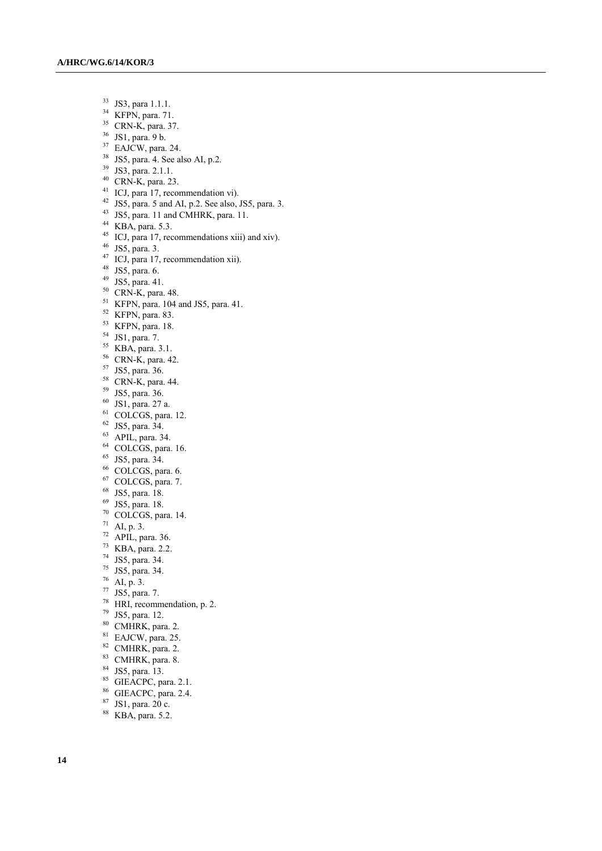- $33 \text{ JS3, para } 1.1.1.$ <br> $34 \text{ KFPN para } 71$
- KFPN, para. 71.
- CRN-K, para. 37.
- JS1, para. 9 b.
- <sup>37</sup> EAJCW, para. 24.
- JS5, para. 4. See also AI, p.2.
- JS3, para. 2.1.1.
- CRN-K, para. 23.
- <sup>41</sup> ICJ, para 17, recommendation vi).
- JS5, para. 5 and AI, p.2. See also, JS5, para. 3.
- JS5, para. 11 and CMHRK, para. 11.
- KBA, para. 5.3.
- <sup>45</sup> ICJ, para 17, recommendations xiii) and xiv).
- JS5, para. 3.
- <sup>47</sup> ICJ, para 17, recommendation xii).
- JS5, para. 6.
- JS5, para. 41.
- CRN-K, para. 48.
- KFPN, para. 104 and JS5, para. 41.
- KFPN, para. 83.
- KFPN, para. 18.
- JS1, para. 7.
- KBA, para. 3.1.
- CRN-K, para. 42.
- JS5, para. 36.
- CRN-K, para. 44.
- JS5, para. 36.
- JS1, para. 27 a.
- COLCGS, para. 12.
- $62 \text{ JS5, para. } 34.$
- APIL, para. 34.
- <sup>64</sup> COLCGS, para. 16.
- JS5, para. 34.
- COLCGS, para. 6.
- COLCGS, para. 7.
- JS5, para. 18.
- JS5, para. 18.
- COLCGS, para. 14.
- AI, p. 3.
- APIL, para. 36.
- KBA, para. 2.2.
- JS5, para. 34.
- JS5, para. 34.
- AI, p. 3.
- JS5, para. 7.
- HRI, recommendation, p. 2.
- JS5, para. 12.
- CMHRK, para. 2.
- <sup>81</sup> EAJCW, para. 25.
- CMHRK, para. 2.
- 
- CMHRK, para. 8.
- JS5, para. 13.
- 85 GIEACPC, para. 2.1.
- GIEACPC, para. 2.4.
- JS1, para. 20 c.
- KBA, para. 5.2.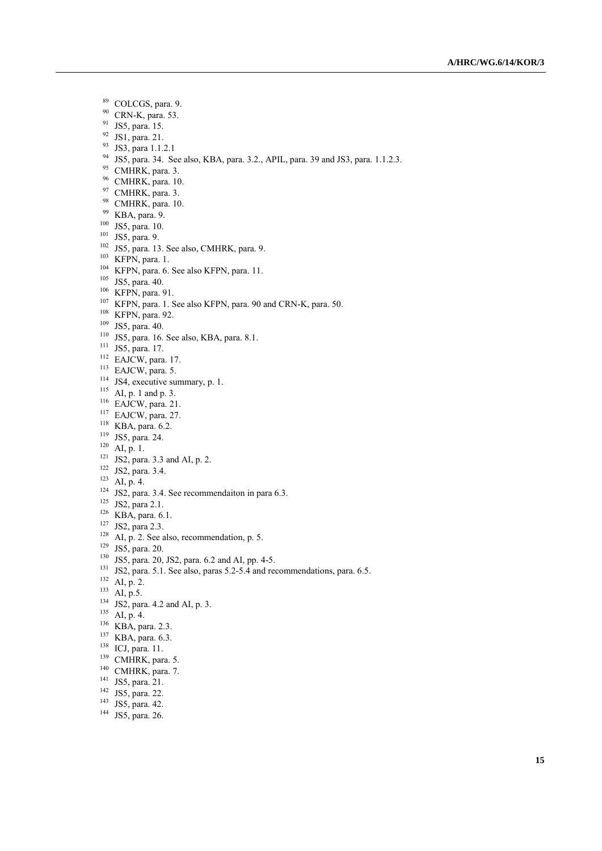- COLCGS, para. 9.
- CRN-K, para. 53.
- JS5, para. 15.
- JS1, para. 21.
- JS3, para 1.1.2.1
- JS5, para. 34. See also, KBA, para. 3.2., APIL, para. 39 and JS3, para. 1.1.2.3.
- <sup>95</sup> CMHRK, para. 3.
- CMHRK, para. 10.
- <sup>97</sup> CMHRK, para. 3.
- <sup>98</sup> CMHRK, para. 10.
- KBA, para. 9.
- JS5, para. 10.
- JS5, para. 9.
- <sup>102</sup> JS5, para. 13. See also, CMHRK, para. 9.
- KFPN, para. 1.
- <sup>104</sup> KFPN, para. 6. See also KFPN, para. 11.
- JS5, para. 40.
- KFPN, para. 91.
- <sup>107</sup> KFPN, para. 1. See also KFPN, para. 90 and CRN-K, para. 50.
- KFPN, para. 92.
- JS5, para. 40.
- JS5, para. 16. See also, KBA, para. 8.1.
- <sup>111</sup> JS5, para. 17.
- EAJCW, para. 17.
- EAJCW, para. 5.
- <sup>114</sup> JS4, executive summary, p. 1.
- AI, p. 1 and p. 3.
- EAJCW, para. 21.
- EAJCW, para. 27.
- KBA, para. 6.2.
- JS5, para. 24.
- AI, p. 1.
- JS2, para. 3.3 and AI, p. 2.
- JS2, para. 3.4.
- AI, p. 4.
- JS2, para. 3.4. See recommendaiton in para 6.3.
- <sup>125</sup> JS2, para 2.1.
- KBA, para. 6.1.
- <sup>127</sup> JS2, para 2.3.
- AI, p. 2. See also, recommendation, p. 5.
- JS5, para. 20.
- JS5, para. 20, JS2, para. 6.2 and AI, pp. 4-5.
- 131 JS2, para. 5.1. See also, paras 5.2-5.4 and recommendations, para. 6.5.
- AI, p. 2.
- $^{133}$  AI, p.5.
- <sup>134</sup> JS2, para. 4.2 and AI, p. 3.
- $^{135}$  AI, p. 4.
- KBA, para. 2.3.
- KBA, para. 6.3.
- ICJ, para. 11.
- <sup>139</sup> CMHRK, para. 5.
- <sup>140</sup> CMHRK, para. 7.
- 
- <sup>141</sup> JS5, para. 21.
- <sup>142</sup> JS5, para. 22.
- JS5, para. 42.
- <sup>144</sup> JS5, para. 26.